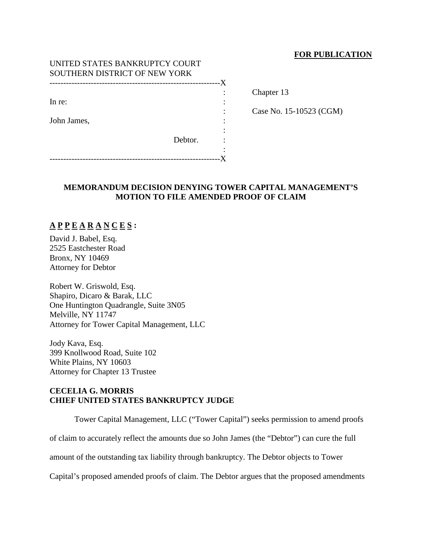## **FOR PUBLICATION**

| UNITED STATES BANKRUPTCY COURT |         |    |
|--------------------------------|---------|----|
| SOUTHERN DISTRICT OF NEW YORK  |         |    |
|                                |         | -X |
|                                |         |    |
| In re:                         |         |    |
|                                |         |    |
| John James,                    |         |    |
|                                |         |    |
|                                | Debtor. |    |
|                                |         |    |
|                                |         |    |

Chapter 13

: Case No. 15-10523 (CGM)

## **MEMORANDUM DECISION DENYING TOWER CAPITAL MANAGEMENT'S MOTION TO FILE AMENDED PROOF OF CLAIM**

# **A P P E A R A N C E S :**

David J. Babel, Esq. 2525 Eastchester Road Bronx, NY 10469 Attorney for Debtor

Robert W. Griswold, Esq. Shapiro, Dicaro & Barak, LLC One Huntington Quadrangle, Suite 3N05 Melville, NY 11747 Attorney for Tower Capital Management, LLC

Jody Kava, Esq. 399 Knollwood Road, Suite 102 White Plains, NY 10603 Attorney for Chapter 13 Trustee

## **CECELIA G. MORRIS CHIEF UNITED STATES BANKRUPTCY JUDGE**

Tower Capital Management, LLC ("Tower Capital") seeks permission to amend proofs

of claim to accurately reflect the amounts due so John James (the "Debtor") can cure the full

amount of the outstanding tax liability through bankruptcy. The Debtor objects to Tower

Capital's proposed amended proofs of claim. The Debtor argues that the proposed amendments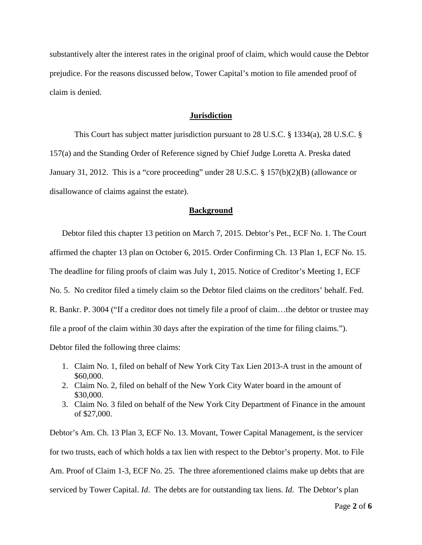substantively alter the interest rates in the original proof of claim, which would cause the Debtor prejudice. For the reasons discussed below, Tower Capital's motion to file amended proof of claim is denied.

#### **Jurisdiction**

This Court has subject matter jurisdiction pursuant to 28 U.S.C. § 1334(a), 28 U.S.C. § 157(a) and the Standing Order of Reference signed by Chief Judge Loretta A. Preska dated January 31, 2012. This is a "core proceeding" under 28 U.S.C. § 157(b)(2)(B) (allowance or disallowance of claims against the estate).

#### **Background**

Debtor filed this chapter 13 petition on March 7, 2015. Debtor's Pet., ECF No. 1. The Court affirmed the chapter 13 plan on October 6, 2015. Order Confirming Ch. 13 Plan 1, ECF No. 15. The deadline for filing proofs of claim was July 1, 2015. Notice of Creditor's Meeting 1, ECF No. 5. No creditor filed a timely claim so the Debtor filed claims on the creditors' behalf. Fed. R. Bankr. P. 3004 ("If a creditor does not timely file a proof of claim…the debtor or trustee may file a proof of the claim within 30 days after the expiration of the time for filing claims."). Debtor filed the following three claims:

- 1. Claim No. 1, filed on behalf of New York City Tax Lien 2013-A trust in the amount of \$60,000.
- 2. Claim No. 2, filed on behalf of the New York City Water board in the amount of \$30,000.
- 3. Claim No. 3 filed on behalf of the New York City Department of Finance in the amount of \$27,000.

Debtor's Am. Ch. 13 Plan 3, ECF No. 13. Movant, Tower Capital Management, is the servicer for two trusts, each of which holds a tax lien with respect to the Debtor's property. Mot. to File Am. Proof of Claim 1-3, ECF No. 25. The three aforementioned claims make up debts that are serviced by Tower Capital. *Id*. The debts are for outstanding tax liens. *Id*. The Debtor's plan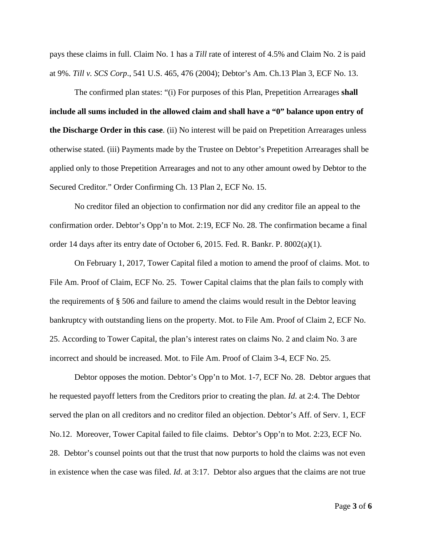pays these claims in full. Claim No. 1 has a *Till* rate of interest of 4.5% and Claim No. 2 is paid at 9%. *Till v. SCS Corp*., 541 U.S. 465, 476 (2004); Debtor's Am. Ch.13 Plan 3, ECF No. 13.

The confirmed plan states: "(i) For purposes of this Plan, Prepetition Arrearages **shall include all sums included in the allowed claim and shall have a "0" balance upon entry of the Discharge Order in this case**. (ii) No interest will be paid on Prepetition Arrearages unless otherwise stated. (iii) Payments made by the Trustee on Debtor's Prepetition Arrearages shall be applied only to those Prepetition Arrearages and not to any other amount owed by Debtor to the Secured Creditor." Order Confirming Ch. 13 Plan 2, ECF No. 15.

No creditor filed an objection to confirmation nor did any creditor file an appeal to the confirmation order. Debtor's Opp'n to Mot. 2:19, ECF No. 28. The confirmation became a final order 14 days after its entry date of October 6, 2015. Fed. R. Bankr. P. 8002(a)(1).

On February 1, 2017, Tower Capital filed a motion to amend the proof of claims. Mot. to File Am. Proof of Claim, ECF No. 25. Tower Capital claims that the plan fails to comply with the requirements of § 506 and failure to amend the claims would result in the Debtor leaving bankruptcy with outstanding liens on the property. Mot. to File Am. Proof of Claim 2, ECF No. 25. According to Tower Capital, the plan's interest rates on claims No. 2 and claim No. 3 are incorrect and should be increased. Mot. to File Am. Proof of Claim 3-4, ECF No. 25.

Debtor opposes the motion. Debtor's Opp'n to Mot. 1-7, ECF No. 28. Debtor argues that he requested payoff letters from the Creditors prior to creating the plan. *Id*. at 2:4. The Debtor served the plan on all creditors and no creditor filed an objection. Debtor's Aff. of Serv. 1, ECF No.12. Moreover, Tower Capital failed to file claims. Debtor's Opp'n to Mot. 2:23, ECF No. 28. Debtor's counsel points out that the trust that now purports to hold the claims was not even in existence when the case was filed. *Id*. at 3:17. Debtor also argues that the claims are not true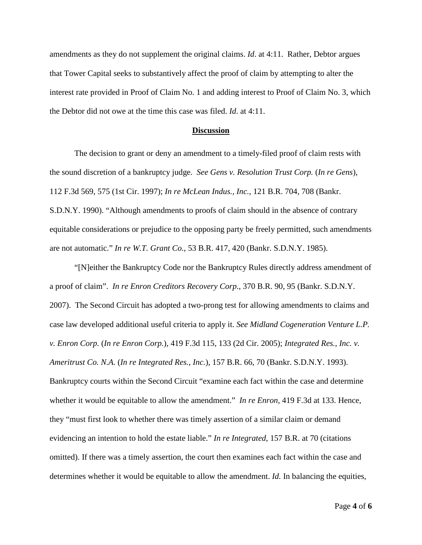amendments as they do not supplement the original claims. *Id*. at 4:11. Rather, Debtor argues that Tower Capital seeks to substantively affect the proof of claim by attempting to alter the interest rate provided in Proof of Claim No. 1 and adding interest to Proof of Claim No. 3, which the Debtor did not owe at the time this case was filed. *Id*. at 4:11.

### **Discussion**

The decision to grant or deny an amendment to a timely-filed proof of claim rests with the sound discretion of a bankruptcy judge. *See Gens v. Resolution Trust Corp.* (*In re Gens*), 112 F.3d 569, 575 (1st Cir. 1997); *In re McLean Indus., Inc.*, 121 B.R. 704, 708 (Bankr. S.D.N.Y. 1990). "Although amendments to proofs of claim should in the absence of contrary equitable considerations or prejudice to the opposing party be freely permitted, such amendments are not automatic." *In re W.T. Grant Co.*, 53 B.R. 417, 420 (Bankr. S.D.N.Y. 1985).

"[N]either the Bankruptcy Code nor the Bankruptcy Rules directly address amendment of a proof of claim". *In re Enron Creditors Recovery Corp*., 370 B.R. 90, 95 (Bankr. S.D.N.Y. 2007). The Second Circuit has adopted a two-prong test for allowing amendments to claims and case law developed additional useful criteria to apply it. *See Midland Cogeneration Venture L.P. v. Enron Corp.* (*In re Enron Corp.*), 419 F.3d 115, 133 (2d Cir. 2005); *Integrated Res., Inc. v. Ameritrust Co. N.A.* (*In re Integrated Res., Inc.*), 157 B.R. 66, 70 (Bankr. S.D.N.Y. 1993). Bankruptcy courts within the Second Circuit "examine each fact within the case and determine whether it would be equitable to allow the amendment." *In re Enron*, 419 F.3d at 133. Hence, they "must first look to whether there was timely assertion of a similar claim or demand evidencing an intention to hold the estate liable." *In re Integrated*, 157 B.R. at 70 (citations omitted). If there was a timely assertion, the court then examines each fact within the case and determines whether it would be equitable to allow the amendment. *Id.* In balancing the equities,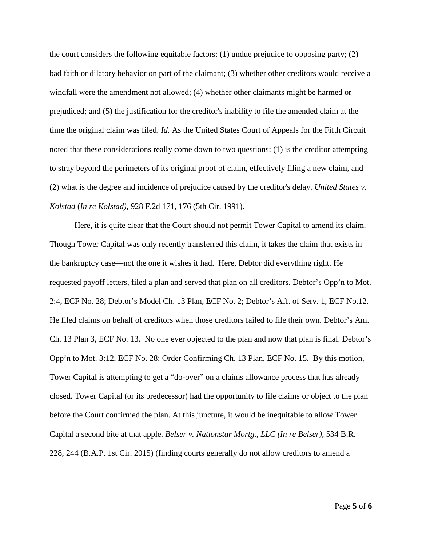the court considers the following equitable factors: (1) undue prejudice to opposing party; (2) bad faith or dilatory behavior on part of the claimant; (3) whether other creditors would receive a windfall were the amendment not allowed; (4) whether other claimants might be harmed or prejudiced; and (5) the justification for the creditor's inability to file the amended claim at the time the original claim was filed. *Id.* As the United States Court of Appeals for the Fifth Circuit noted that these considerations really come down to two questions: (1) is the creditor attempting to stray beyond the perimeters of its original proof of claim, effectively filing a new claim, and (2) what is the degree and incidence of prejudice caused by the creditor's delay. *United States v. Kolstad* (*In re Kolstad)*, 928 F.2d 171, 176 (5th Cir. 1991).

Here, it is quite clear that the Court should not permit Tower Capital to amend its claim. Though Tower Capital was only recently transferred this claim, it takes the claim that exists in the bankruptcy case—not the one it wishes it had. Here, Debtor did everything right. He requested payoff letters, filed a plan and served that plan on all creditors. Debtor's Opp'n to Mot. 2:4, ECF No. 28; Debtor's Model Ch. 13 Plan, ECF No. 2; Debtor's Aff. of Serv. 1, ECF No.12. He filed claims on behalf of creditors when those creditors failed to file their own. Debtor's Am. Ch. 13 Plan 3, ECF No. 13. No one ever objected to the plan and now that plan is final. Debtor's Opp'n to Mot. 3:12, ECF No. 28; Order Confirming Ch. 13 Plan, ECF No. 15. By this motion, Tower Capital is attempting to get a "do-over" on a claims allowance process that has already closed. Tower Capital (or its predecessor) had the opportunity to file claims or object to the plan before the Court confirmed the plan. At this juncture, it would be inequitable to allow Tower Capital a second bite at that apple. *Belser v. Nationstar Mortg., LLC (In re Belser)*, 534 B.R. 228, 244 (B.A.P. 1st Cir. 2015) (finding courts generally do not allow creditors to amend a